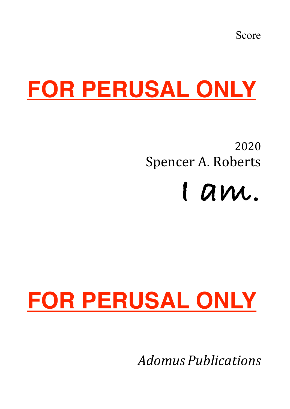Score

## 2020 Spencer A. Roberts

# **I am.**

# **FOR PERUSAL ONLY**<br>
<sup>2020</sup><br>
<sup>2020</sup><br> *COR PERUSAL ONLY*

*Adomus Publications*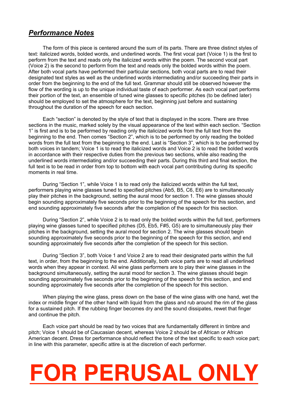#### *Performance Notes*

The form of this piece is centered around the sum of its parts. There are three distinct styles of text: italicized words, bolded words, and underlined words. The first vocal part (Voice 1) is the first to perform from the text and reads only the italicized words within the poem. The second vocal part (Voice 2) is the second to perform from the text and reads only the bolded words within the poem. After both vocal parts have performed their particular sections, both vocal parts are to read their designated text styles as well as the underlined words intermediating and/or succeeding their parts in order from the beginning to the end of the full text. Grammar should still be observed however the flow of the wording is up to the unique individual taste of each performer. As each vocal part performs their portion of the text, an ensemble of tuned wine glasses to specific pitches (to be defined later) should be employed to set the atmosphere for the text, beginning just before and sustaining throughout the duration of the speech for each section.

Each "section" is denoted by the style of text that is displayed in the score. There are three sections in the music, marked solely by the visual appearance of the text within each section. "Section 1" is first and is to be performed by reading only the italicized words from the full text from the beginning to the end. Then comes "Section 2", which is to be performed by only reading the bolded words from the full text from the beginning to the end. Last is "Section 3", which is to be performed by both voices in tandem; Voice 1 is to read the italicized words and Voice 2 is to read the bolded words in accordance with their respective duties from the previous two sections, while also reading the underlined words intermediating and/or succeeding their parts. During this third and final section, the full text is to be read in order from top to bottom with each vocal part contributing during its specific moments in real time.

During "Section 1", while Voice 1 is to read only the italicized words within the full text, performers playing wine glasses tuned to specified pitches (Ab5, B5, C6, E6) are to simultaneously play their pitches in the background, setting the aural mood for section 1. The wine glasses should begin sounding approximately five seconds prior to the beginning of the speech for this section, and end sounding approximately five seconds after the completion of the speech for this section.

During "Section 2", while Voice 2 is to read only the bolded words within the full text, performers playing wine glasses tuned to specified pitches (D5, Eb5, F#5, G5) are to simultaneously play their pitches in the background, setting the aural mood for section 2. The wine glasses should begin sounding approximately five seconds prior to the beginning of the speech for this section, and end sounding approximately five seconds after the completion of the speech for this section.

During "Section 3", both Voice 1 and Voice 2 are to read their designated parts within the full text, in order, from the beginning to the end. Additionally, both voice parts are to read all underlined words when they appear in context. All wine glass performers are to play their wine glasses in the background simultaneously, setting the aural mood for section 3. The wine glasses should begin sounding approximately five seconds prior to the beginning of the speech for this section, and end sounding approximately five seconds after the completion of the speech for this section.

When playing the wine glass, press down on the base of the wine glass with one hand, wet the index or middle finger of the other hand with liquid from the glass and rub around the rim of the glass for a sustained pitch. If the rubbing finger becomes dry and the sound dissipates, rewet that finger and continue the pitch.

Each voice part should be read by two voices that are fundamentally different in timbre and pitch; Voice 1 should be of Caucasian decent, whereas Voice 2 should be of African or African American decent. Dress for performance should reflect the tone of the text specific to each voice part; in line with this parameter, specific attire is at the discretion of each performer.

# **FOR PERUSAL ONLY**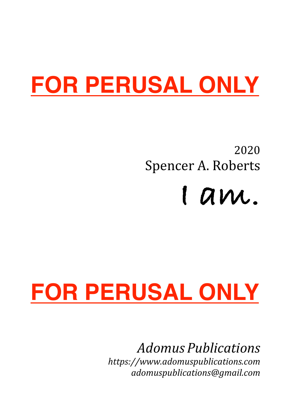# **FOR PERUSAL ONLY**

## 2020 Spencer A. Roberts



# **FOR PERUSAL ONLY**

## *Adomus Publications*

*https://www.adomuspublications.com adomuspublications@gmail.com*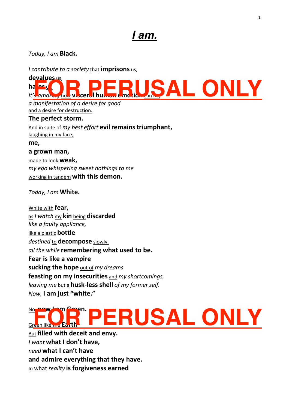## *I am.*

*Today, I am* **Black.**

*I contribute to a society* that **imprisons** us,

#### **devalues** us, **hates** us. *It's amazing* how visceral human emotion c **SAL ONLY**

*a manifestation of a desire for good* and a desire for destruction.

**The perfect storm.**

And in spite of *my best effort* **evilremainstriumphant,** laughing in my face;

**me, a grown man,**

made to look **weak,** *my ego whispering sweet nothings to me* working in tandem **with this demon.**

*Today, I am* **White.**

White with **fear,** as *I watch* my **kin** being **discarded** *like a faulty appliance,* like a plastic **bottle** *destined* to **decompose** slowly, *all the while* **remembering what used to be. Fear is like a vampire sucking the hope** out of *my dreams* **feasting on my insecurities** and *my shortcomings, leaving me* but a **husk-less shell** *of my former self. Now,* **I am just "white."**

### No **now I am Green.** Green like the **Earth FRUSAL ONLY**

But **filled with deceit and envy.** *I want* **what I don't have,** *need* **what I can't have and admire everything that they have.** In what *reality* **is forgiveness earned**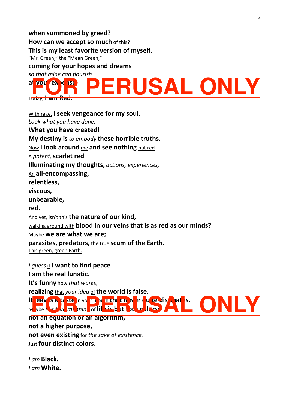**when summoned by greed? How can we accept so much** of this? **This is my least favorite version of myself.** "Mr. Green," the "Mean Green," **coming for your hopes and dreams** *so that mine can flourish* at you expense. Today, **I am Red. PERUSAL ONLY** 

With rage, **I seek vengeance for my soul.** *Look what you have done,* **What you have created! My destiny is***to embody* **these horrible truths.** Now **I look around** me **and see nothing** but red A *potent,***scarlet red Illuminating my thoughts,** *actions, experiences,* An **all-encompassing, relentless, viscous, unbearable, red.** And yet, isn't this **the nature of our kind,** walking around with **blood in our veins that is as red as our minds?** Maybe **we are what we are; parasites, predators,** the true **scum of the Earth.** This green, green Earth.

**realizing** that *your idea* of **the world is false.** It eav sataste in yo<mark>ur pull in that never quite dissipat</mark>es.<br>
<u>Move destate me uning of life is but in your directions</u> M ybe *the true meaning* of **life is but four colors; not an equation or an algorithm, not a higher purpose, not even existing** for *the sake of existence.* Just **four distinct colors.**

*I guess*if **I want to find peace**

**I am the real lunatic.**

**It's funny** how *that works,*

*I am* **Black.** *I am* **White.**